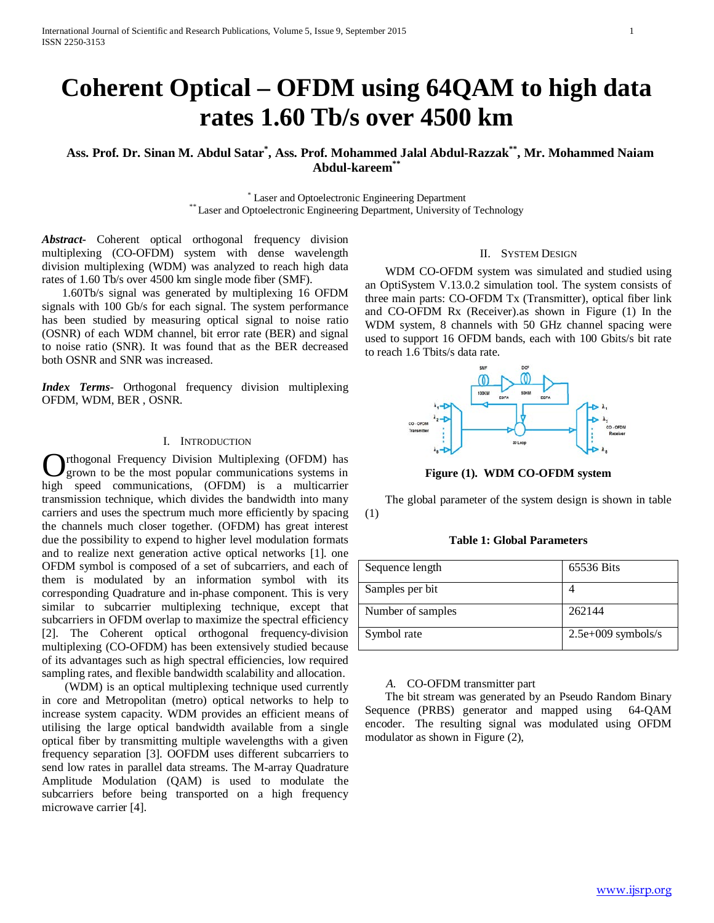# **Coherent Optical – OFDM using 64QAM to high data rates 1.60 Tb/s over 4500 km**

# **Ass. Prof. Dr. Sinan M. Abdul Satar\* , Ass. Prof. Mohammed Jalal Abdul-Razzak\*\*, Mr. Mohammed Naiam Abdul-kareem\*\***

\* Laser and Optoelectronic Engineering Department<br>\*\* Laser and Optoelectronic Engineering Department, University of Technology

*Abstract***-** Coherent optical orthogonal frequency division multiplexing (CO-OFDM) system with dense wavelength division multiplexing (WDM) was analyzed to reach high data rates of 1.60 Tb/s over 4500 km single mode fiber (SMF).

 1.60Tb/s signal was generated by multiplexing 16 OFDM signals with 100 Gb/s for each signal. The system performance has been studied by measuring optical signal to noise ratio (OSNR) of each WDM channel, bit error rate (BER) and signal to noise ratio (SNR). It was found that as the BER decreased both OSNR and SNR was increased.

*Index Terms*- Orthogonal frequency division multiplexing OFDM, WDM, BER , OSNR.

# I. INTRODUCTION

rthogonal Frequency Division Multiplexing (OFDM) has grown to be the most popular communications systems in **C** prihogonal Frequency Division Multiplexing (OFDM) has grown to be the most popular communications systems in high speed communications, (OFDM) is a multicarrier transmission technique, which divides the bandwidth into many carriers and uses the spectrum much more efficiently by spacing the channels much closer together. (OFDM) has great interest due the possibility to expend to higher level modulation formats and to realize next generation active optical networks [1]. one OFDM symbol is composed of a set of subcarriers, and each of them is modulated by an information symbol with its corresponding Quadrature and in-phase component. This is very similar to subcarrier multiplexing technique, except that subcarriers in OFDM overlap to maximize the spectral efficiency [2]. The Coherent optical orthogonal frequency-division multiplexing (CO-OFDM) has been extensively studied because of its advantages such as high spectral efficiencies, low required sampling rates, and flexible bandwidth scalability and allocation.

 (WDM) is an optical multiplexing technique used currently in core and Metropolitan (metro) optical networks to help to increase system capacity. WDM provides an efficient means of utilising the large optical bandwidth available from a single optical fiber by transmitting multiple wavelengths with a given frequency separation [3]. OOFDM uses different subcarriers to send low rates in parallel data streams. The M-array Quadrature Amplitude Modulation (QAM) is used to modulate the subcarriers before being transported on a high frequency microwave carrier [4].

## II. SYSTEM DESIGN

 WDM CO-OFDM system was simulated and studied using an OptiSystem V.13.0.2 simulation tool. The system consists of three main parts: CO-OFDM Tx (Transmitter), optical fiber link and CO-OFDM Rx (Receiver).as shown in Figure (1) In the WDM system, 8 channels with 50 GHz channel spacing were used to support 16 OFDM bands, each with 100 Gbits/s bit rate to reach 1.6 Tbits/s data rate.



**Figure (1). WDM CO-OFDM system**

 The global parameter of the system design is shown in table (1)

# **Table 1: Global Parameters**

| Sequence length   | 65536 Bits           |
|-------------------|----------------------|
| Samples per bit   |                      |
| Number of samples | 262144               |
| Symbol rate       | $2.5e+009$ symbols/s |

#### *A.* CO-OFDM transmitter part

 The bit stream was generated by an Pseudo Random Binary Sequence (PRBS) generator and mapped using 64-QAM encoder. The resulting signal was modulated using OFDM modulator as shown in Figure (2),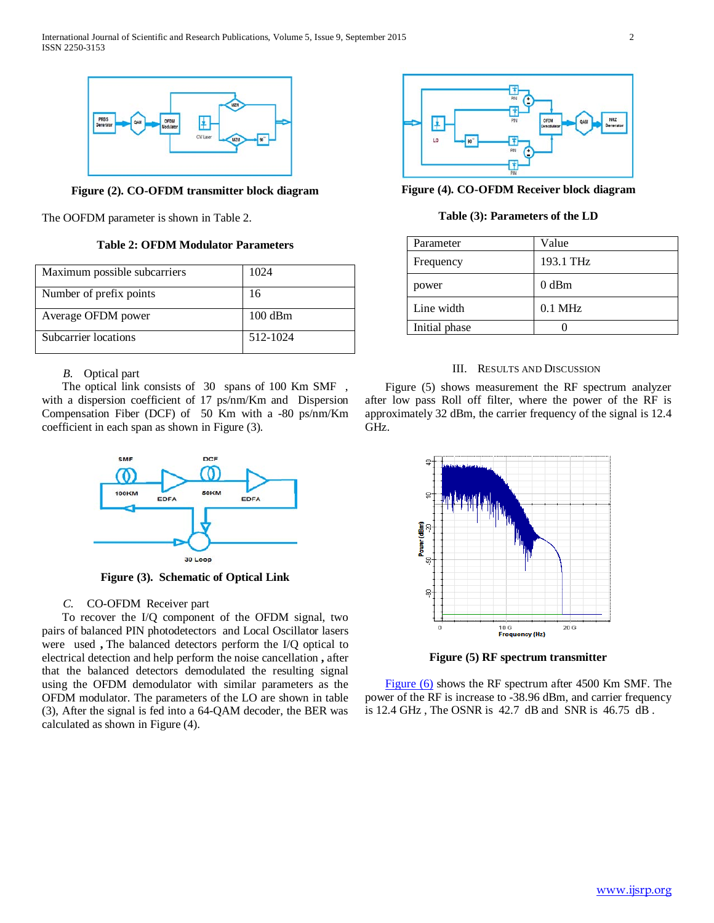

**Figure (2). CO-OFDM transmitter block diagram**

The OOFDM parameter is shown in Table 2.

**Table 2: OFDM Modulator Parameters**

| Maximum possible subcarriers | 1024              |
|------------------------------|-------------------|
| Number of prefix points      | 16                |
| Average OFDM power           | $100 \text{ dBm}$ |
| Subcarrier locations         | 512-1024          |

# *B.* Optical part

 The optical link consists of 30 spans of 100 Km SMF , with a dispersion coefficient of 17 ps/nm/Km and Dispersion Compensation Fiber (DCF) of 50 Km with a -80 ps/nm/Km coefficient in each span as shown in Figure (3).



**Figure (3). Schematic of Optical Link**

# *C.* CO-OFDM Receiver part

 To recover the I/Q component of the OFDM signal, two pairs of balanced PIN photodetectors and Local Oscillator lasers were used **,** The balanced detectors perform the I/Q optical to electrical detection and help perform the noise cancellation **,** after that the balanced detectors demodulated the resulting signal using the OFDM demodulator with similar parameters as the OFDM modulator. The parameters of the LO are shown in table (3), After the signal is fed into a 64-QAM decoder, the BER was calculated as shown in Figure (4).



**Figure (4). CO-OFDM Receiver block diagram**

# **Table (3): Parameters of the LD**

| Parameter     | Value     |
|---------------|-----------|
| Frequency     | 193.1 THz |
| power         | $0$ dBm   |
| Line width    | $0.1$ MHz |
| Initial phase |           |

## III. RESULTS AND DISCUSSION

 Figure (5) shows measurement the RF spectrum analyzer after low pass Roll off filter, where the power of the RF is approximately 32 dBm, the carrier frequency of the signal is 12.4 GHz.



**Figure (5) RF spectrum transmitter**

*Figure* (6) shows the RF spectrum after 4500 Km SMF. The power of the RF is increase to -38.96 dBm, and carrier frequency is 12.4 GHz , The OSNR is 42.7 dB and SNR is 46.75 dB .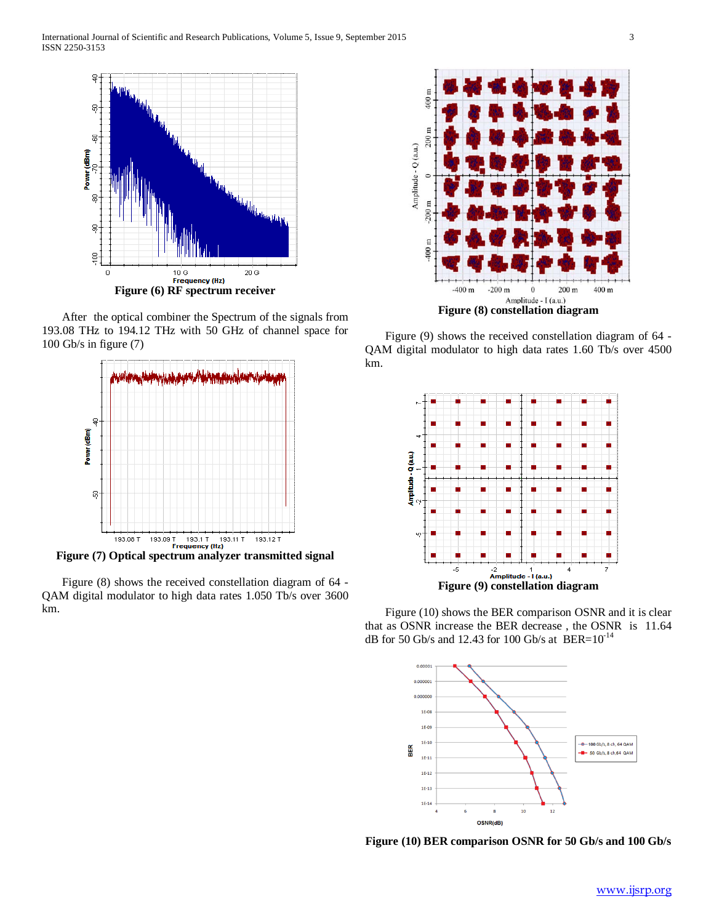

 After the optical combiner the Spectrum of the signals from 193.08 THz to 194.12 THz with 50 GHz of channel space for 100 Gb/s in figure (7)



**Figure (7) Optical spectrum analyzer transmitted signal**

 Figure (8) shows the received constellation diagram of 64 - QAM digital modulator to high data rates 1.050 Tb/s over 3600 km.



 Figure (9) shows the received constellation diagram of 64 - QAM digital modulator to high data rates 1.60 Tb/s over 4500 km.



 Figure (10) shows the BER comparison OSNR and it is clear that as OSNR increase the BER decrease , the OSNRis 11.64 dB for 50 Gb/s and 12.43 for 100 Gb/s at BER= $10^{-14}$ 



 **Figure (10) BER comparison OSNR for 50 Gb/s and 100 Gb/s**